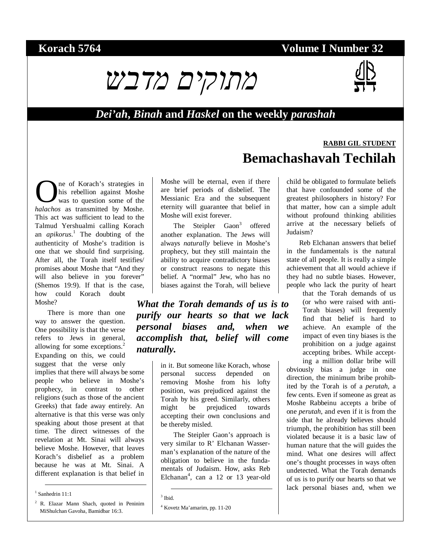# **Korach 5764 Volume I Number 32**



#### *Dei'ah***,** *Binah* **and** *Haskel* **on the weekly** *parashah*

ne of Korach's strategies in his rebellion against Moshe was to question some of the **C** is trategies in his rebellion against Moshe was to question some of the *halachos* as transmitted by Moshe. This act was sufficient to lead to the Talmud Yershualmi calling Korach an *apikorus*.<sup>1</sup> The doubting of the authenticity of Moshe's tradition is one that we should find surprising. After all, the Torah itself testifies/ promises about Moshe that "And they will also believe in you forever" (Shemos 19:9). If that is the case, how could Korach doubt Moshe?

There is more than one way to answer the question. One possibility is that the verse refers to Jews in general, allowing for some exceptions.<sup>2</sup> Expanding on this, we could suggest that the verse only implies that there will always be some people who believe in Moshe's prophecy, in contrast to other religions (such as those of the ancient Greeks) that fade away entirely. An alternative is that this verse was only speaking about those present at that time. The direct witnesses of the revelation at Mt. Sinai will always believe Moshe. However, that leaves Korach's disbelief as a problem because he was at Mt. Sinai. A different explanation is that belief in

1 Sanhedrin 11:1

<sup>2</sup> R. Elazar Mann Shach, quoted in Peninim MiShulchan Gavoha, Bamidbar 16:3.

Moshe will be eternal, even if there are brief periods of disbelief. The Messianic Era and the subsequent eternity will guarantee that belief in Moshe will exist forever.

The Steipler Gaon<sup>3</sup> offered another explanation. The Jews will always *naturally* believe in Moshe's prophecy, but they still maintain the ability to acquire contradictory biases or construct reasons to negate this belief. A "normal" Jew, who has no biases against the Torah, will believe

*What the Torah demands of us is to purify our hearts so that we lack personal biases and, when we accomplish that, belief will come naturally.* 

> in it. But someone like Korach, whose personal success depended on removing Moshe from his lofty position, was prejudiced against the Torah by his greed. Similarly, others might be prejudiced towards accepting their own conclusions and be thereby misled.

> The Steipler Gaon's approach is very similar to R' Elchanan Wasserman's explanation of the nature of the obligation to believe in the fundamentals of Judaism. How, asks Reb Elchanan<sup>4</sup>, can a 12 or 13 year-old

3 Ibid.

child be obligated to formulate beliefs

**Bemachashavah Techilah** 

Reb Elchanan answers that belief in the fundamentals is the natural state of all people. It is really a simple achievement that all would achieve if they had no subtle biases. However, people who lack the purity of heart

> that the Torah demands of us (or who were raised with anti-Torah biases) will frequently find that belief is hard to achieve. An example of the impact of even tiny biases is the prohibition on a judge against accepting bribes. While accept-

ing a million dollar bribe will obviously bias a judge in one direction, the minimum bribe prohibited by the Torah is of a *perutah*, a few cents. Even if someone as great as Moshe Rabbeinu accepts a bribe of one *perutah*, and even if it is from the side that he already believes should triumph, the prohibition has still been violated because it is a basic law of human nature that the will guides the mind. What one desires will affect one's thought processes in ways often undetected. What the Torah demands of us is to purify our hearts so that we lack personal biases and, when we

that have confounded some of the greatest philosophers in history? For that matter, how can a simple adult without profound thinking abilities arrive at the necessary beliefs of Judaism?

**RABBI GIL STUDENT**

<sup>4</sup> Kovetz Ma'amarim, pp. 11-20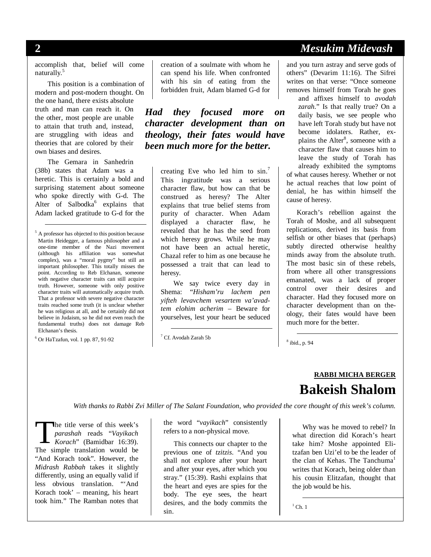#### **2** *Mesukim Midevash*

accomplish that, belief will come naturally.<sup>5</sup>

This position is a combination of modern and post-modern thought. On the one hand, there exists absolute truth and man can reach it. On the other, most people are unable to attain that truth and, instead, are struggling with ideas and theories that are colored by their own biases and desires.

The Gemara in Sanhedrin (38b) states that Adam was a heretic. This is certainly a bold and surprising statement about someone who spoke directly with G-d. The Alter of Salbodka<sup>6</sup> explains that Adam lacked gratitude to G-d for the

 5 A professor has objected to this position because Martin Heidegger, a famous philosopher and a one-time member of the Nazi movement (although his affiliation was somewhat complex), was a "moral pygmy" but still an important philosopher. This totally misses the point. According to Reb Elchanan, someone with negative character traits can still acquire truth. However, someone with only positive character traits will automatically acquire truth. That a professor with severe negative character traits reached some truth (it is unclear whether he was religious at all, and he certainly did not believe in Judaism, so he did not even reach the fundamental truths) does not damage Reb Elchanan's thesis.

6 Or HaTzafun, vol. 1 pp. 87, 91-92

creation of a soulmate with whom he can spend his life. When confronted with his sin of eating from the forbidden fruit, Adam blamed G-d for

*Had they focused more on character development than on theology, their fates would have been much more for the better.* 

> creating Eve who led him to sin.<sup>7</sup> This ingratitude was a serious character flaw, but how can that be construed as heresy? The Alter explains that true belief stems from purity of character. When Adam displayed a character flaw, he revealed that he has the seed from which heresy grows. While he may not have been an actual heretic, Chazal refer to him as one because he possessed a trait that can lead to heresy.

We say twice every day in Shema: "*Hisham'ru lachem pen yifteh levavchem vesartem va'avadtem elohim acherim* – Beware for yourselves, lest your heart be seduced

7 Cf. Avodah Zarah 5b

and you turn astray and serve gods of others" (Devarim 11:16). The Sifrei writes on that verse: "Once someone removes himself from Torah he goes

and affixes himself to *avodah zarah*." Is that really true? On a daily basis, we see people who have left Torah study but have not become idolaters. Rather, explains the Alter<sup>8</sup>, someone with a character flaw that causes him to leave the study of Torah has already exhibited the symptoms of what causes heresy. Whether or not he actual reaches that low point of denial, he has within himself the cause of heresy.

Korach's rebellion against the Torah of Moshe, and all subsequent replications, derived its basis from selfish or other biases that (perhaps) subtly directed otherwise healthy minds away from the absolute truth. The most basic sin of these rebels, from where all other transgressions emanated, was a lack of proper control over their desires and character. Had they focused more on character development than on theology, their fates would have been much more for the better.

8 ibid., p. 94

# **RABBI MICHA BERGER Bakeish Shalom**

*With thanks to Rabbi Zvi Miller of The Salant Foundation, who provided the core thought of this week's column.*

he title verse of this week's *parashah* reads "*Vayikach*  **The title verse of this week's**<br> *Rorach*" (Bamidbar 16:39).<br>
The simple translation would be The simple translation would be "And Korach took". However, the *Midrash Rabbah* takes it slightly differently, using an equally valid if less obvious translation. "'And Korach took' – meaning, his heart took him." The Ramban notes that

the word "*vayikach*" consistently refers to a non-physical move.

This connects our chapter to the previous one of *tzitzis*. "And you shall not explore after your heart and after your eyes, after which you stray." (15:39). Rashi explains that the heart and eyes are spies for the body. The eye sees, the heart desires, and the body commits the sin.

Why was he moved to rebel? In what direction did Korach's heart take him? Moshe appointed Elitzafan ben Uzi'el to be the leader of the clan of Kehas. The Tanchuma<sup>1</sup> writes that Korach, being older than his cousin Elitzafan, thought that the job would be his.

 $\overline{\phantom{0}}$ <sup>1</sup> Ch. 1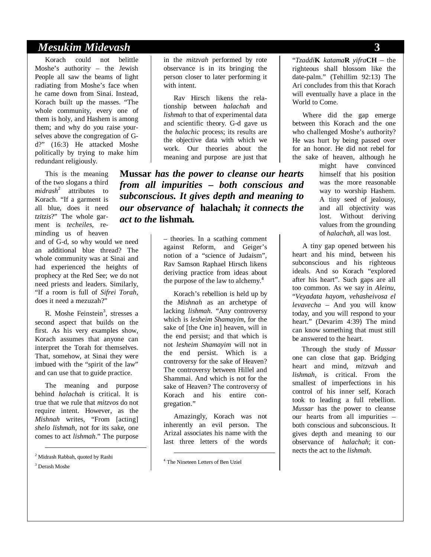#### *Mesukim Midevash* **3**

Korach could not belittle Moshe's authority – the Jewish People all saw the beams of light radiating from Moshe's face when he came down from Sinai. Instead, Korach built up the masses. "The whole community, every one of them is holy, and Hashem is among them; and why do you raise yourselves above the congregation of Gd?" (16:3) He attacked Moshe politically by trying to make him redundant religiously.

This is the meaning of the two slogans a third *midrash*<sup>2</sup> attributes to Korach. "If a garment is all blue, does it need *tzitzis*?" The whole garment is *techeiles*, reminding us of heaven

and of G-d, so why would we need an additional blue thread? The whole community was at Sinai and had experienced the heights of prophecy at the Red See; we do not need priests and leaders. Similarly, "If a room is full of *Sifrei Torah*, does it need a mezuzah?"

R. Moshe Feinstein<sup>3</sup>, stresses a second aspect that builds on the first. As his very examples show, Korach assumes that anyone can interpret the Torah for themselves. That, somehow, at Sinai they were imbued with the "spirit of the law" and can use that to guide practice.

The meaning and purpose behind *halachah* is critical. It is true that we rule that *mitzvos* do not require intent. However, as the *Mishnah* writes, "From [acting] *shelo lishmah*, not for its sake, one comes to act *lishmah*." The purpose

2 Midrash Rabbah, quoted by Rashi

3 Derash Moshe

in the *mitzvah* performed by rote observance is in its bringing the person closer to later performing it with intent.

Rav Hirsch likens the relationship between *halachah* and *lishmah* to that of experimental data and scientific theory. G-d gave us the *halachic* process; its results are the objective data with which we work. Our theories about the meaning and purpose are just that

**Mussar** *has the power to cleanse our hearts from all impurities – both conscious and subconscious. It gives depth and meaning to our observance of* **halachah***; it connects the act to the* **lishmah***.* 

> – theories. In a scathing comment against Reform, and Geiger's notion of a "science of Judaism", Rav Samson Raphael Hirsch likens deriving practice from ideas about the purpose of the law to alchemy. $4$

> Korach's rebellion is held up by the *Mishnah* as an archetype of lacking *lishmah*. "Any controversy which is *lesheim Shamayim*, for the sake of [the One in] heaven, will in the end persist; and that which is not *lesheim Shamayim* will not in the end persist. Which is a controversy for the sake of Heaven? The controversy between Hillel and Shammai. And which is not for the sake of Heaven? The controversy of Korach and his entire congregation."

Amazingly, Korach was not inherently an evil person. The Arizal associates his name with the last three letters of the words

4 The Nineteen Letters of Ben Uziel

"*Tzaddi***K** *katama***R** *yifra***CH** – the righteous shall blossom like the date-palm." (Tehillim 92:13) The Ari concludes from this that Korach will eventually have a place in the World to Come.

Where did the gap emerge between this Korach and the one who challenged Moshe's authority? He was hurt by being passed over for an honor. He did not rebel for the sake of heaven, although he

> might have convinced himself that his position was the more reasonable way to worship Hashem. A tiny seed of jealousy, and all objectivity was lost. Without deriving values from the grounding of *halachah*, all was lost.

A tiny gap opened between his heart and his mind, between his subconscious and his righteous ideals. And so Korach "explored after his heart". Such gaps are all too common. As we say in *Aleinu*, "*Veyadata hayom, vehasheivosa el levavecha* – And you will know today, and you will respond to your heart." (Devarim 4:39) The mind can know something that must still be answered to the heart.

Through the study of *Mussar* one can close that gap. Bridging heart and mind, *mitzvah* and *lishmah*, is critical. From the smallest of imperfections in his control of his inner self, Korach took to leading a full rebellion. *Mussar* has the power to cleanse our hearts from all impurities – both conscious and subconscious. It gives depth and meaning to our observance of *halachah*; it connects the act to the *lishmah*.